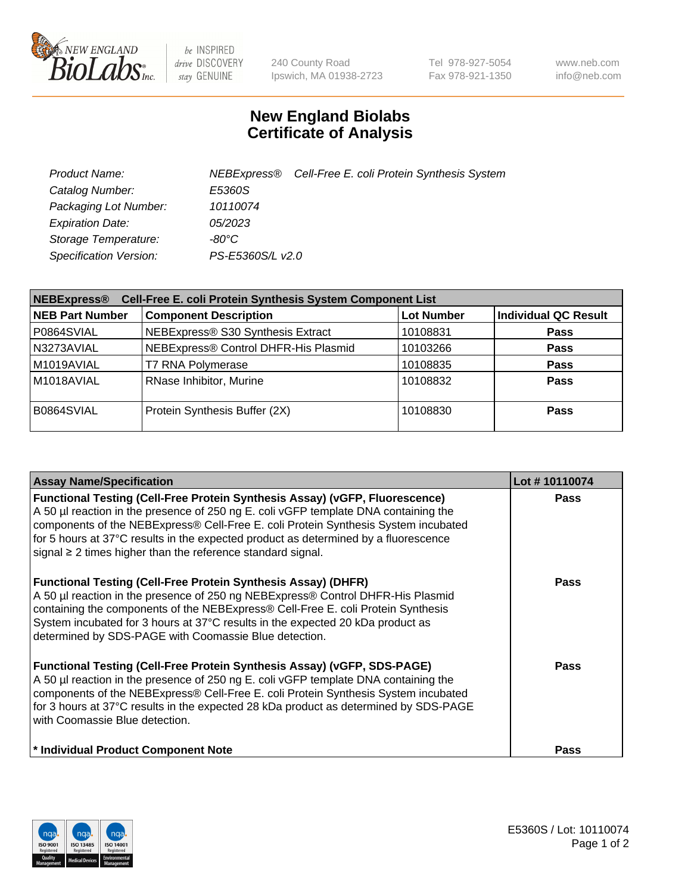

 $be$  INSPIRED drive DISCOVERY stay GENUINE

240 County Road Ipswich, MA 01938-2723 Tel 978-927-5054 Fax 978-921-1350 www.neb.com info@neb.com

## **New England Biolabs Certificate of Analysis**

| Product Name:           |                  | NEBExpress <sup>®</sup> Cell-Free E. coli Protein Synthesis System |
|-------------------------|------------------|--------------------------------------------------------------------|
| Catalog Number:         | E5360S           |                                                                    |
| Packaging Lot Number:   | 10110074         |                                                                    |
| <b>Expiration Date:</b> | 05/2023          |                                                                    |
| Storage Temperature:    | -80°C.           |                                                                    |
| Specification Version:  | PS-E5360S/L v2.0 |                                                                    |

| Cell-Free E. coli Protein Synthesis System Component List<br><b>NEBExpress®</b> |                                      |                   |                             |  |
|---------------------------------------------------------------------------------|--------------------------------------|-------------------|-----------------------------|--|
| <b>NEB Part Number</b>                                                          | <b>Component Description</b>         | <b>Lot Number</b> | <b>Individual QC Result</b> |  |
| P0864SVIAL                                                                      | NEBExpress® S30 Synthesis Extract    | 10108831          | <b>Pass</b>                 |  |
| N3273AVIAL                                                                      | NEBExpress® Control DHFR-His Plasmid | 10103266          | <b>Pass</b>                 |  |
| M1019AVIAL                                                                      | <b>T7 RNA Polymerase</b>             | 10108835          | <b>Pass</b>                 |  |
| M1018AVIAL                                                                      | RNase Inhibitor, Murine              | 10108832          | <b>Pass</b>                 |  |
| B0864SVIAL                                                                      | Protein Synthesis Buffer (2X)        | 10108830          | <b>Pass</b>                 |  |

| <b>Assay Name/Specification</b>                                                                                                                                                                                                                                                                                                                                                                                            | Lot #10110074 |
|----------------------------------------------------------------------------------------------------------------------------------------------------------------------------------------------------------------------------------------------------------------------------------------------------------------------------------------------------------------------------------------------------------------------------|---------------|
| <b>Functional Testing (Cell-Free Protein Synthesis Assay) (vGFP, Fluorescence)</b><br>A 50 µl reaction in the presence of 250 ng E. coli vGFP template DNA containing the<br>components of the NEBExpress® Cell-Free E. coli Protein Synthesis System incubated<br>for 5 hours at 37°C results in the expected product as determined by a fluorescence<br>signal $\geq$ 2 times higher than the reference standard signal. | <b>Pass</b>   |
| <b>Functional Testing (Cell-Free Protein Synthesis Assay) (DHFR)</b><br>A 50 µl reaction in the presence of 250 ng NEBExpress® Control DHFR-His Plasmid<br>containing the components of the NEBExpress® Cell-Free E. coli Protein Synthesis<br>System incubated for 3 hours at 37°C results in the expected 20 kDa product as<br>determined by SDS-PAGE with Coomassie Blue detection.                                     | Pass          |
| <b>Functional Testing (Cell-Free Protein Synthesis Assay) (vGFP, SDS-PAGE)</b><br>A 50 µl reaction in the presence of 250 ng E. coli vGFP template DNA containing the<br>components of the NEBExpress® Cell-Free E. coli Protein Synthesis System incubated<br>for 3 hours at 37°C results in the expected 28 kDa product as determined by SDS-PAGE<br>with Coomassie Blue detection.                                      | <b>Pass</b>   |
| * Individual Product Component Note                                                                                                                                                                                                                                                                                                                                                                                        | <b>Pass</b>   |